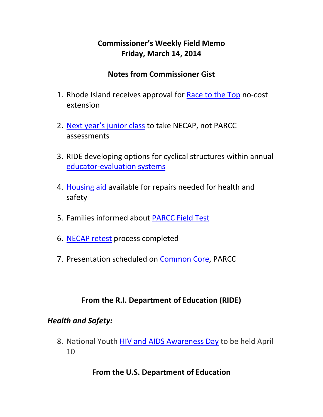# **Commissioner's Weekly Field Memo Friday, March 14, 2014**

#### **Notes from Commissioner Gist**

- 1. Rhode Island receives approval for Race to the Top no‐cost extension
- 2. Next year's junior class to take NECAP, not PARCC assessments
- 3. RIDE developing options for cyclical structures within annual educator‐evaluation systems
- 4. Housing aid available for repairs needed for health and safety
- 5. Families informed about PARCC Field Test
- 6. NECAP retest process completed
- 7. Presentation scheduled on Common Core, PARCC

#### **From the R.I. Department of Education (RIDE)**

#### *Health and Safety:*

8. National Youth HIV and AIDS Awareness Day to be held April 10

#### **From the U.S. Department of Education**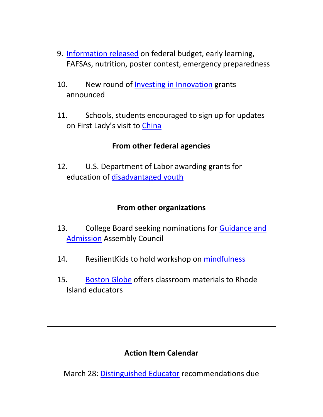- 9. Information released on federal budget, early learning, FAFSAs, nutrition, poster contest, emergency preparedness
- 10. New round of Investing in Innovation grants announced
- 11. Schools, students encouraged to sign up for updates on First Lady's visit to China

#### **From other federal agencies**

12. U.S. Department of Labor awarding grants for education of disadvantaged youth

#### **From other organizations**

- 13. College Board seeking nominations for Guidance and Admission Assembly Council
- 14. ResilientKids to hold workshop on mindfulness
- 15. Boston Globe offers classroom materials to Rhode Island educators

#### **Action Item Calendar**

March 28: Distinguished Educator recommendations due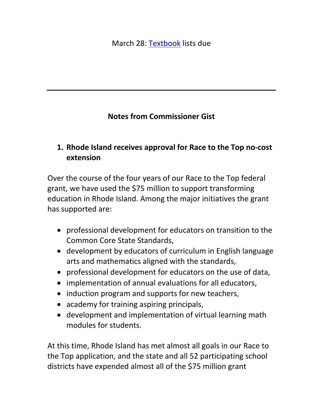# **Notes from Commissioner Gist**

## **1. Rhode Island receives approval for Race to the Top no‐cost extension**

Over the course of the four years of our Race to the Top federal grant, we have used the \$75 million to support transforming education in Rhode Island. Among the major initiatives the grant has supported are:

- professional development for educators on transition to the Common Core State Standards,
- development by educators of curriculum in English language arts and mathematics aligned with the standards,
- professional development for educators on the use of data,
- implementation of annual evaluations for all educators,
- induction program and supports for new teachers,
- academy for training aspiring principals,
- development and implementation of virtual learning math modules for students.

At this time, Rhode Island has met almost all goals in our Race to the Top application, and the state and all 52 participating school districts have expended almost all of the \$75 million grant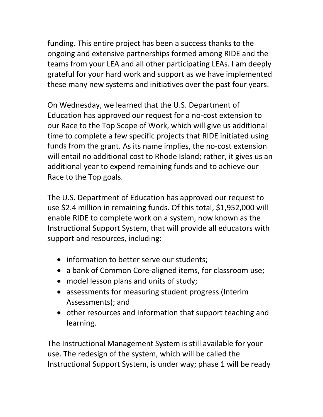funding. This entire project has been a success thanks to the ongoing and extensive partnerships formed among RIDE and the teams from your LEA and all other participating LEAs. I am deeply grateful for your hard work and support as we have implemented these many new systems and initiatives over the past four years.

On Wednesday, we learned that the U.S. Department of Education has approved our request for a no‐cost extension to our Race to the Top Scope of Work, which will give us additional time to complete a few specific projects that RIDE initiated using funds from the grant. As its name implies, the no‐cost extension will entail no additional cost to Rhode Island; rather, it gives us an additional year to expend remaining funds and to achieve our Race to the Top goals.

The U.S. Department of Education has approved our request to use \$2.4 million in remaining funds. Of this total, \$1,952,000 will enable RIDE to complete work on a system, now known as the Instructional Support System, that will provide all educators with support and resources, including:

- information to better serve our students;
- a bank of Common Core-aligned items, for classroom use;
- model lesson plans and units of study;
- assessments for measuring student progress (Interim Assessments); and
- other resources and information that support teaching and learning.

The Instructional Management System is still available for your use. The redesign of the system, which will be called the Instructional Support System, is under way; phase 1 will be ready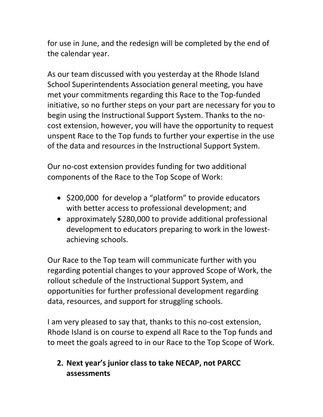for use in June, and the redesign will be completed by the end of the calendar year.

As our team discussed with you yesterday at the Rhode Island School Superintendents Association general meeting, you have met your commitments regarding this Race to the Top-funded initiative, so no further steps on your part are necessary for you to begin using the Instructional Support System. Thanks to the no‐ cost extension, however, you will have the opportunity to request unspent Race to the Top funds to further your expertise in the use of the data and resources in the Instructional Support System.

Our no‐cost extension provides funding for two additional components of the Race to the Top Scope of Work:

- \$200,000 for develop a "platform" to provide educators with better access to professional development; and
- approximately \$280,000 to provide additional professional development to educators preparing to work in the lowest‐ achieving schools.

Our Race to the Top team will communicate further with you regarding potential changes to your approved Scope of Work, the rollout schedule of the Instructional Support System, and opportunities for further professional development regarding data, resources, and support for struggling schools.

I am very pleased to say that, thanks to this no‐cost extension, Rhode Island is on course to expend all Race to the Top funds and to meet the goals agreed to in our Race to the Top Scope of Work.

# **2. Next year's junior class to take NECAP, not PARCC assessments**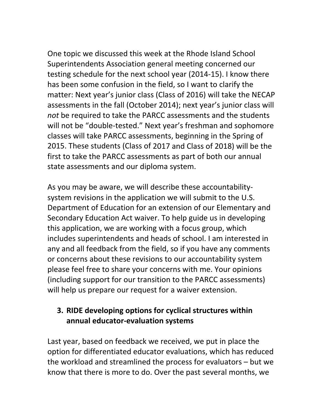One topic we discussed this week at the Rhode Island School Superintendents Association general meeting concerned our testing schedule for the next school year (2014‐15). I know there has been some confusion in the field, so I want to clarify the matter: Next year's junior class (Class of 2016) will take the NECAP assessments in the fall (October 2014); next year's junior class will *not* be required to take the PARCC assessments and the students will not be "double-tested." Next year's freshman and sophomore classes will take PARCC assessments, beginning in the Spring of 2015. These students (Class of 2017 and Class of 2018) will be the first to take the PARCC assessments as part of both our annual state assessments and our diploma system.

As you may be aware, we will describe these accountability‐ system revisions in the application we will submit to the U.S. Department of Education for an extension of our Elementary and Secondary Education Act waiver. To help guide us in developing this application, we are working with a focus group, which includes superintendents and heads of school. I am interested in any and all feedback from the field, so if you have any comments or concerns about these revisions to our accountability system please feel free to share your concerns with me. Your opinions (including support for our transition to the PARCC assessments) will help us prepare our request for a waiver extension.

## **3. RIDE developing options for cyclical structures within annual educator‐evaluation systems**

Last year, based on feedback we received, we put in place the option for differentiated educator evaluations, which has reduced the workload and streamlined the process for evaluators – but we know that there is more to do. Over the past several months, we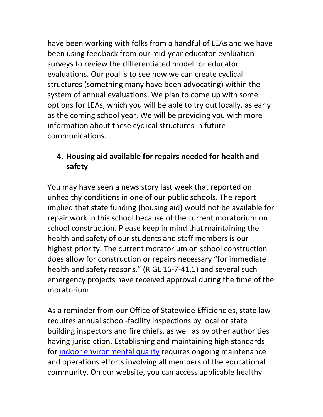have been working with folks from a handful of LEAs and we have been using feedback from our mid‐year educator‐evaluation surveys to review the differentiated model for educator evaluations. Our goal is to see how we can create cyclical structures (something many have been advocating) within the system of annual evaluations. We plan to come up with some options for LEAs, which you will be able to try out locally, as early as the coming school year. We will be providing you with more information about these cyclical structures in future communications.

# **4. Housing aid available for repairs needed for health and safety**

You may have seen a news story last week that reported on unhealthy conditions in one of our public schools. The report implied that state funding (housing aid) would not be available for repair work in this school because of the current moratorium on school construction. Please keep in mind that maintaining the health and safety of our students and staff members is our highest priority. The current moratorium on school construction does allow for construction or repairs necessary "for immediate health and safety reasons," (RIGL 16-7-41.1) and several such emergency projects have received approval during the time of the moratorium.

As a reminder from our Office of Statewide Efficiencies, state law requires annual school‐facility inspections by local or state building inspectors and fire chiefs, as well as by other authorities having jurisdiction. Establishing and maintaining high standards for indoor environmental quality requires ongoing maintenance and operations efforts involving all members of the educational community. On our website, you can access applicable healthy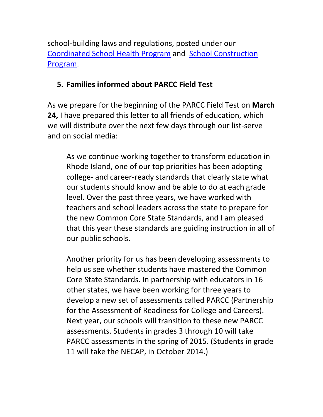school‐building laws and regulations, posted under our Coordinated School Health Program and School Construction Program.

## **5. Families informed about PARCC Field Test**

As we prepare for the beginning of the PARCC Field Test on **March 24,** I have prepared this letter to all friends of education, which we will distribute over the next few days through our list-serve and on social media:

As we continue working together to transform education in Rhode Island, one of our top priorities has been adopting college‐ and career‐ready standards that clearly state what our students should know and be able to do at each grade level. Over the past three years, we have worked with teachers and school leaders across the state to prepare for the new Common Core State Standards, and I am pleased that this year these standards are guiding instruction in all of our public schools.

Another priority for us has been developing assessments to help us see whether students have mastered the Common Core State Standards. In partnership with educators in 16 other states, we have been working for three years to develop a new set of assessments called PARCC (Partnership for the Assessment of Readiness for College and Careers). Next year, our schools will transition to these new PARCC assessments. Students in grades 3 through 10 will take PARCC assessments in the spring of 2015. (Students in grade 11 will take the NECAP, in October 2014.)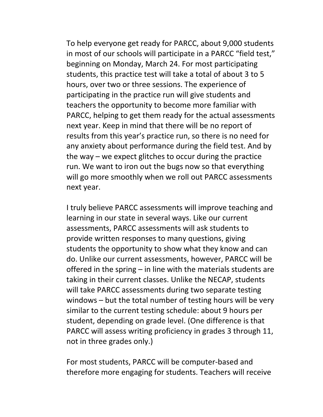To help everyone get ready for PARCC, about 9,000 students in most of our schools will participate in a PARCC "field test," beginning on Monday, March 24. For most participating students, this practice test will take a total of about 3 to 5 hours, over two or three sessions. The experience of participating in the practice run will give students and teachers the opportunity to become more familiar with PARCC, helping to get them ready for the actual assessments next year. Keep in mind that there will be no report of results from this year's practice run, so there is no need for any anxiety about performance during the field test. And by the way – we expect glitches to occur during the practice run. We want to iron out the bugs now so that everything will go more smoothly when we roll out PARCC assessments next year.

I truly believe PARCC assessments will improve teaching and learning in our state in several ways. Like our current assessments, PARCC assessments will ask students to provide written responses to many questions, giving students the opportunity to show what they know and can do. Unlike our current assessments, however, PARCC will be offered in the spring – in line with the materials students are taking in their current classes. Unlike the NECAP, students will take PARCC assessments during two separate testing windows – but the total number of testing hours will be very similar to the current testing schedule: about 9 hours per student, depending on grade level. (One difference is that PARCC will assess writing proficiency in grades 3 through 11, not in three grades only.)

For most students, PARCC will be computer‐based and therefore more engaging for students. Teachers will receive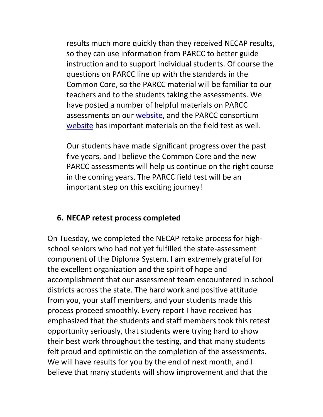results much more quickly than they received NECAP results, so they can use information from PARCC to better guide instruction and to support individual students. Of course the questions on PARCC line up with the standards in the Common Core, so the PARCC material will be familiar to our teachers and to the students taking the assessments. We have posted a number of helpful materials on PARCC assessments on our website, and the PARCC consortium website has important materials on the field test as well.

Our students have made significant progress over the past five years, and I believe the Common Core and the new PARCC assessments will help us continue on the right course in the coming years. The PARCC field test will be an important step on this exciting journey!

#### **6. NECAP retest process completed**

On Tuesday, we completed the NECAP retake process for high‐ school seniors who had not yet fulfilled the state‐assessment component of the Diploma System. I am extremely grateful for the excellent organization and the spirit of hope and accomplishment that our assessment team encountered in school districts across the state. The hard work and positive attitude from you, your staff members, and your students made this process proceed smoothly. Every report I have received has emphasized that the students and staff members took this retest opportunity seriously, that students were trying hard to show their best work throughout the testing, and that many students felt proud and optimistic on the completion of the assessments. We will have results for you by the end of next month, and I believe that many students will show improvement and that the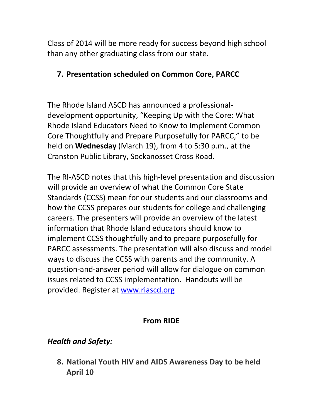Class of 2014 will be more ready for success beyond high school than any other graduating class from our state.

## **7. Presentation scheduled on Common Core, PARCC**

The Rhode Island ASCD has announced a professional‐ development opportunity, "Keeping Up with the Core: What Rhode Island Educators Need to Know to Implement Common Core Thoughtfully and Prepare Purposefully for PARCC," to be held on **Wednesday** (March 19), from 4 to 5:30 p.m., at the Cranston Public Library, Sockanosset Cross Road.

The RI‐ASCD notes that this high‐level presentation and discussion will provide an overview of what the Common Core State Standards (CCSS) mean for our students and our classrooms and how the CCSS prepares our students for college and challenging careers. The presenters will provide an overview of the latest information that Rhode Island educators should know to implement CCSS thoughtfully and to prepare purposefully for PARCC assessments. The presentation will also discuss and model ways to discuss the CCSS with parents and the community. A question‐and‐answer period will allow for dialogue on common issues related to CCSS implementation. Handouts will be provided. Register at www.riascd.org

## **From RIDE**

## *Health and Safety:*

**8. National Youth HIV and AIDS Awareness Day to be held April 10**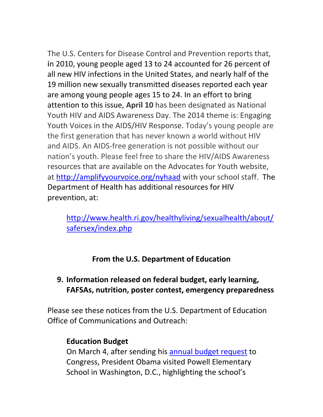The U.S. Centers for Disease Control and Prevention reports that, **i**n 2010, young people aged 13 to 24 accounted for 26 percent of all new HIV infections in the United States, and nearly half of the 19 million new sexually transmitted diseases reported each year are among young people ages 15 to 24. In an effort to bring attention to this issue, **April 10** has been designated as National Youth HIV and AIDS Awareness Day. The 2014 theme is: Engaging Youth Voices in the AIDS/HIV Response. Today's young people are the first generation that has never known a world without HIV and AIDS. An AIDS‐free generation is not possible without our nation's youth. Please feel free to share the HIV/AIDS Awareness resources that are available on the Advocates for Youth website, at http://amplifyyourvoice.org/nyhaad with your school staff. The Department of Health has additional resources for HIV prevention, at:

http://www.health.ri.gov/healthyliving/sexualhealth/about/ safersex/index.php

## **From the U.S. Department of Education**

#### **9. Information released on federal budget, early learning, FAFSAs, nutrition, poster contest, emergency preparedness**

Please see these notices from the U.S. Department of Education Office of Communications and Outreach:

#### **Education Budget**

On March 4, after sending his annual budget request to Congress, President Obama visited Powell Elementary School in Washington, D.C., highlighting the school's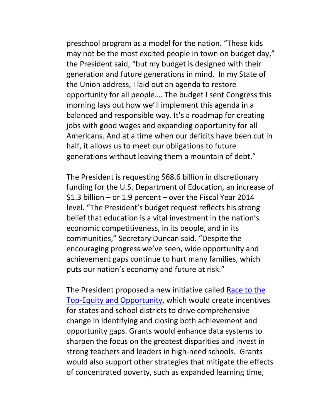preschool program as a model for the nation. "These kids may not be the most excited people in town on budget day," the President said, "but my budget is designed with their generation and future generations in mind. In my State of the Union address, I laid out an agenda to restore opportunity for all people…. The budget I sent Congress this morning lays out how we'll implement this agenda in a balanced and responsible way. It's a roadmap for creating jobs with good wages and expanding opportunity for all Americans. And at a time when our deficits have been cut in half, it allows us to meet our obligations to future generations without leaving them a mountain of debt."

The President is requesting \$68.6 billion in discretionary funding for the U.S. Department of Education, an increase of \$1.3 billion – or 1.9 percent – over the Fiscal Year 2014 level. "The President's budget request reflects his strong belief that education is a vital investment in the nation's economic competitiveness, in its people, and in its communities," Secretary Duncan said. "Despite the encouraging progress we've seen, wide opportunity and achievement gaps continue to hurt many families, which puts our nation's economy and future at risk."

The President proposed a new initiative called Race to the Top‐Equity and Opportunity, which would create incentives for states and school districts to drive comprehensive change in identifying and closing both achievement and opportunity gaps. Grants would enhance data systems to sharpen the focus on the greatest disparities and invest in strong teachers and leaders in high‐need schools. Grants would also support other strategies that mitigate the effects of concentrated poverty, such as expanded learning time,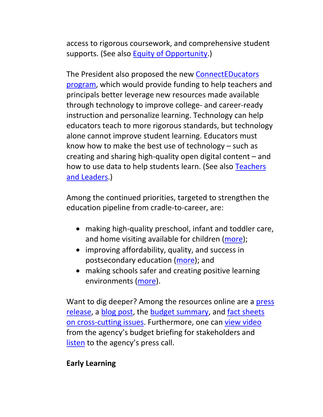access to rigorous coursework, and comprehensive student supports. (See also Equity of Opportunity.)

The President also proposed the new ConnectEDucators program, which would provide funding to help teachers and principals better leverage new resources made available through technology to improve college‐ and career‐ready instruction and personalize learning. Technology can help educators teach to more rigorous standards, but technology alone cannot improve student learning. Educators must know how to make the best use of technology – such as creating and sharing high‐quality open digital content – and how to use data to help students learn. (See also Teachers and Leaders.)

Among the continued priorities, targeted to strengthen the education pipeline from cradle‐to‐career, are:

- making high-quality preschool, infant and toddler care, and home visiting available for children (more);
- improving affordability, quality, and success in postsecondary education (more); and
- making schools safer and creating positive learning environments (more).

Want to dig deeper? Among the resources online are a press release, a blog post, the budget summary, and fact sheets on cross‐cutting issues. Furthermore, one can view video from the agency's budget briefing for stakeholders and listen to the agency's press call.

#### **Early Learning**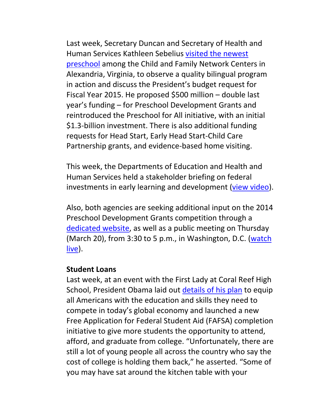Last week, Secretary Duncan and Secretary of Health and Human Services Kathleen Sebelius visited the newest preschool among the Child and Family Network Centers in Alexandria, Virginia, to observe a quality bilingual program in action and discuss the President's budget request for Fiscal Year 2015. He proposed \$500 million – double last year's funding – for Preschool Development Grants and reintroduced the Preschool for All initiative, with an initial \$1.3-billion investment. There is also additional funding requests for Head Start, Early Head Start‐Child Care Partnership grants, and evidence‐based home visiting.

This week, the Departments of Education and Health and Human Services held a stakeholder briefing on federal investments in early learning and development (view video).

Also, both agencies are seeking additional input on the 2014 Preschool Development Grants competition through a dedicated website, as well as a public meeting on Thursday (March 20), from 3:30 to 5 p.m., in Washington, D.C. (watch live).

#### **Student Loans**

Last week, at an event with the First Lady at Coral Reef High School, President Obama laid out details of his plan to equip all Americans with the education and skills they need to compete in today's global economy and launched a new Free Application for Federal Student Aid (FAFSA) completion initiative to give more students the opportunity to attend, afford, and graduate from college. "Unfortunately, there are still a lot of young people all across the country who say the cost of college is holding them back," he asserted. "Some of you may have sat around the kitchen table with your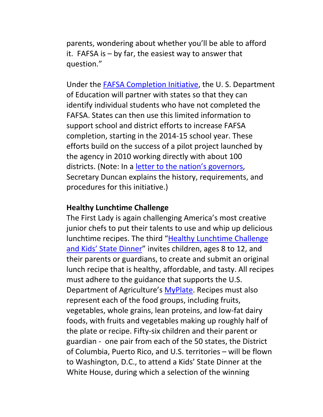parents, wondering about whether you'll be able to afford it. FAFSA is – by far, the easiest way to answer that question."

Under the FAFSA Completion Initiative, the U. S. Department of Education will partner with states so that they can identify individual students who have not completed the FAFSA. States can then use this limited information to support school and district efforts to increase FAFSA completion, starting in the 2014‐15 school year. These efforts build on the success of a pilot project launched by the agency in 2010 working directly with about 100 districts. (Note: In a letter to the nation's governors, Secretary Duncan explains the history, requirements, and procedures for this initiative.)

#### **Healthy Lunchtime Challenge**

The First Lady is again challenging America's most creative junior chefs to put their talents to use and whip up delicious lunchtime recipes. The third "Healthy Lunchtime Challenge and Kids' State Dinner" invites children, ages 8 to 12, and their parents or guardians, to create and submit an original lunch recipe that is healthy, affordable, and tasty. All recipes must adhere to the guidance that supports the U.S. Department of Agriculture's MyPlate. Recipes must also represent each of the food groups, including fruits, vegetables, whole grains, lean proteins, and low‐fat dairy foods, with fruits and vegetables making up roughly half of the plate or recipe. Fifty‐six children and their parent or guardian ‐ one pair from each of the 50 states, the District of Columbia, Puerto Rico, and U.S. territories – will be flown to Washington, D.C., to attend a Kids' State Dinner at the White House, during which a selection of the winning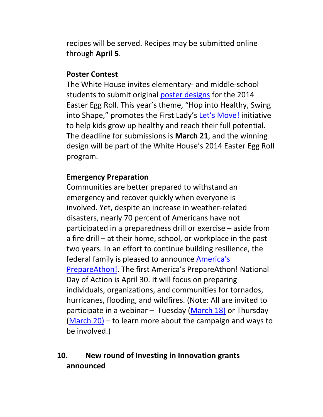recipes will be served. Recipes may be submitted online through **April 5**.

#### **Poster Contest**

The White House invites elementary‐ and middle‐school students to submit original poster designs for the 2014 Easter Egg Roll. This year's theme, "Hop into Healthy, Swing into Shape," promotes the First Lady's Let's Move! initiative to help kids grow up healthy and reach their full potential. The deadline for submissions is **March 21**, and the winning design will be part of the White House's 2014 Easter Egg Roll program.

#### **Emergency Preparation**

Communities are better prepared to withstand an emergency and recover quickly when everyone is involved. Yet, despite an increase in weather‐related disasters, nearly 70 percent of Americans have not participated in a preparedness drill or exercise – aside from a fire drill – at their home, school, or workplace in the past two years. In an effort to continue building resilience, the federal family is pleased to announce America's PrepareAthon!. The first America's PrepareAthon! National Day of Action is April 30. It will focus on preparing individuals, organizations, and communities for tornados, hurricanes, flooding, and wildfires. (Note: All are invited to participate in a webinar  $-$  Tuesday (March 18) or Thursday (March 20) – to learn more about the campaign and ways to be involved.)

# **10. New round of Investing in Innovation grants announced**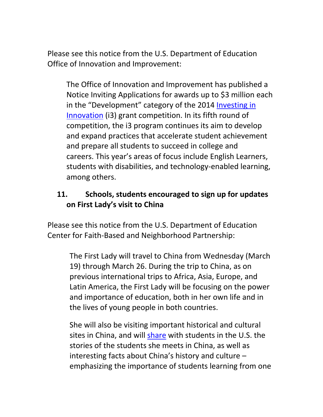Please see this notice from the U.S. Department of Education Office of Innovation and Improvement:

The Office of Innovation and Improvement has published a Notice Inviting Applications for awards up to \$3 million each in the "Development" category of the 2014 Investing in Innovation (i3) grant competition. In its fifth round of competition, the i3 program continues its aim to develop and expand practices that accelerate student achievement and prepare all students to succeed in college and careers. This year's areas of focus include English Learners, students with disabilities, and technology‐enabled learning, among others.

## **11. Schools, students encouraged to sign up for updates on First Lady's visit to China**

Please see this notice from the U.S. Department of Education Center for Faith‐Based and Neighborhood Partnership:

> The First Lady will travel to China from Wednesday (March 19) through March 26. During the trip to China, as on previous international trips to Africa, Asia, Europe, and Latin America, the First Lady will be focusing on the power and importance of education, both in her own life and in the lives of young people in both countries.

> She will also be visiting important historical and cultural sites in China, and will share with students in the U.S. the stories of the students she meets in China, as well as interesting facts about China's history and culture – emphasizing the importance of students learning from one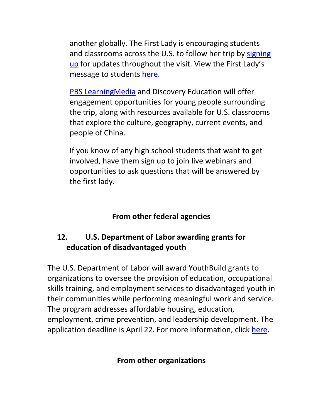another globally. The First Lady is encouraging students and classrooms across the U.S. to follow her trip by signing up for updates throughout the visit. View the First Lady's message to students here.

PBS LearningMedia and Discovery Education will offer engagement opportunities for young people surrounding the trip, along with resources available for U.S. classrooms that explore the culture, geography, current events, and people of China.

If you know of any high school students that want to get involved, have them sign up to join live webinars and opportunities to ask questions that will be answered by the first lady.

## **From other federal agencies**

# **12. U.S. Department of Labor awarding grants for education of disadvantaged youth**

The U.S. Department of Labor will award YouthBuild grants to organizations to oversee the provision of education, occupational skills training, and employment services to disadvantaged youth in their communities while performing meaningful work and service. The program addresses affordable housing, education, employment, crime prevention, and leadership development. The application deadline is April 22. For more information, click here.

#### **From other organizations**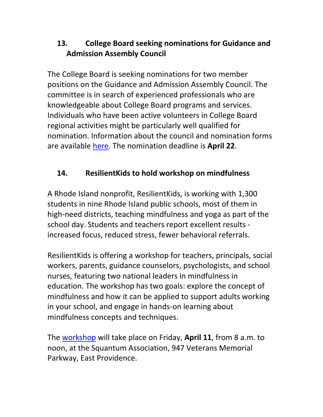# **13. College Board seeking nominations for Guidance and Admission Assembly Council**

The College Board is seeking nominations for two member positions on the Guidance and Admission Assembly Council. The committee is in search of experienced professionals who are knowledgeable about College Board programs and services. Individuals who have been active volunteers in College Board regional activities might be particularly well qualified for nomination. Information about the council and nomination forms are available here. The nomination deadline is **April 22**.

# **14. ResilientKids to hold workshop on mindfulness**

A Rhode Island nonprofit, ResilientKids, is working with 1,300 students in nine Rhode Island public schools, most of them in high-need districts, teaching mindfulness and yoga as part of the school day. Students and teachers report excellent results ‐ increased focus, reduced stress, fewer behavioral referrals.

ResilientKids is offering a workshop for teachers, principals, social workers, parents, guidance counselors, psychologists, and school nurses, featuring two national leaders in mindfulness in education. The workshop has two goals: explore the concept of mindfulness and how it can be applied to support adults working in your school, and engage in hands‐on learning about mindfulness concepts and techniques.

The workshop will take place on Friday, **April 11**, from 8 a.m. to noon, at the Squantum Association, 947 Veterans Memorial Parkway, East Providence.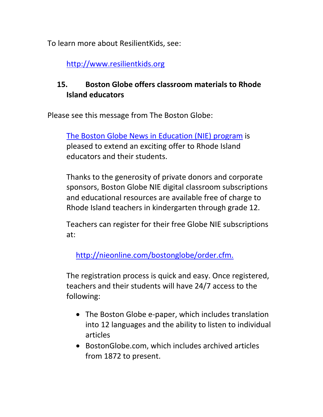To learn more about ResilientKids, see:

http://www.resilientkids.org

# **15. Boston Globe offers classroom materials to Rhode Island educators**

Please see this message from The Boston Globe:

The Boston Globe News in Education (NIE) program is pleased to extend an exciting offer to Rhode Island educators and their students.

Thanks to the generosity of private donors and corporate sponsors, Boston Globe NIE digital classroom subscriptions and educational resources are available free of charge to Rhode Island teachers in kindergarten through grade 12.

Teachers can register for their free Globe NIE subscriptions at:

http://nieonline.com/bostonglobe/order.cfm.

The registration process is quick and easy. Once registered, teachers and their students will have 24/7 access to the following:

- The Boston Globe e-paper, which includes translation into 12 languages and the ability to listen to individual articles
- BostonGlobe.com, which includes archived articles from 1872 to present.